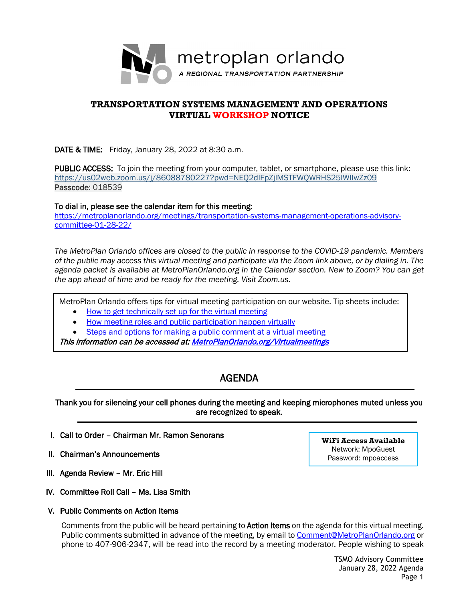

# **TRANSPORTATION SYSTEMS MANAGEMENT AND OPERATIONS VIRTUAL WORKSHOP NOTICE**

DATE & TIME: Friday, January 28, 2022 at 8:30 a.m.

PUBLIC ACCESS: To join the meeting from your computer, tablet, or smartphone, please use this link: <https://us02web.zoom.us/j/86088780227?pwd=NEQ2dlFpZjlMSTFWQWRHS25lWlIwZz09> Passcode: 018539

To dial in, please see the calendar item for this meeting:

[https://metroplanorlando.org/meetings/transportation-systems-management-operations-advisory](https://metroplanorlando.org/meetings/transportation-systems-management-operations-advisory-committee-01-28-22/)[committee-01-28-22/](https://metroplanorlando.org/meetings/transportation-systems-management-operations-advisory-committee-01-28-22/)

*The MetroPlan Orlando offices are closed to the public in response to the COVID-19 pandemic. Members of the public may access this virtual meeting and participate via the Zoom link above, or by dialing in. The agenda packet is available at MetroPlanOrlando.org in the Calendar section. New to Zoom? You can get the app ahead of time and be ready for the meeting. Visit Zoom.us.* 

MetroPlan Orlando offers tips for virtual meeting participation on our website. Tip sheets include:

- [How to get technically set up for the virtual meeting](https://metroplanorlando.org/wp-content/uploads/VM_TipsSheet_SetUp_Public-FINAL.pdf)
- [How meeting roles and public participation happen virtually](https://metroplanorlando.org/wp-content/uploads/VM_TipsSheet_MeetingRolesAndPublicComment-FINAL.pdf)

[Steps and options for making a public comment at a virtual meeting](https://metroplanorlando.org/wp-content/uploads/Virtual-Meetings-Public-Comment-Procedures-FINAL.pdf)

This information can be accessed at: MetroPlanOrlando.org/Virtualmeetings

# AGENDA

Thank you for silencing your cell phones during the meeting and keeping microphones muted unless you are recognized to speak.

- I. Call to Order Chairman Mr. Ramon Senorans
- II. Chairman's Announcements

l

- III. Agenda Review Mr. Eric Hill
- IV. Committee Roll Call Ms. Lisa Smith
- V. Public Comments on Action Items

Comments from the public will be heard pertaining to **Action Items** on the agenda for this virtual meeting. Public comments submitted in advance of the meeting, by email to [Comment@MetroPlanOrlando.org](mailto:Comment@MetroPlanOrlando.org) or phone to 407-906-2347, will be read into the record by a meeting moderator. People wishing to speak

**WiFi Access Available** Network: MpoGuest Password: mpoaccess

> TSMO Advisory Committee January 28, 2022 Agenda Page 1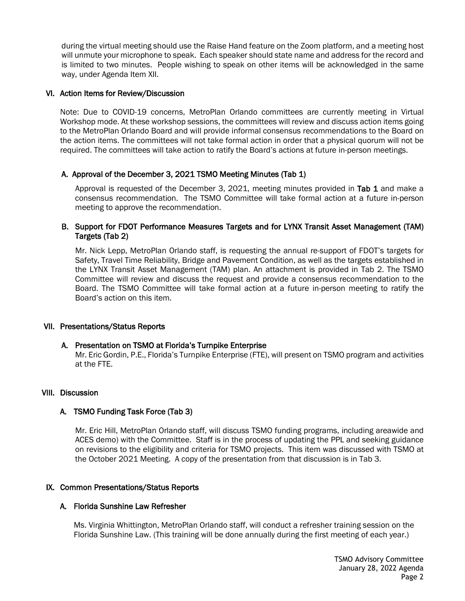during the virtual meeting should use the Raise Hand feature on the Zoom platform, and a meeting host will unmute your microphone to speak. Each speaker should state name and address for the record and is limited to two minutes. People wishing to speak on other items will be acknowledged in the same way, under Agenda Item XII.

## VI. Action Items for Review/Discussion

Note: Due to COVID-19 concerns, MetroPlan Orlando committees are currently meeting in Virtual Workshop mode. At these workshop sessions, the committees will review and discuss action items going to the MetroPlan Orlando Board and will provide informal consensus recommendations to the Board on the action items. The committees will not take formal action in order that a physical quorum will not be required. The committees will take action to ratify the Board's actions at future in-person meetings.

# A. Approval of the December 3, 2021 TSMO Meeting Minutes (Tab 1)

Approval is requested of the December 3, 2021, meeting minutes provided in Tab 1 and make a consensus recommendation. The TSMO Committee will take formal action at a future in-person meeting to approve the recommendation.

## B. Support for FDOT Performance Measures Targets and for LYNX Transit Asset Management (TAM) Targets (Tab 2)

Mr. Nick Lepp, MetroPlan Orlando staff, is requesting the annual re-support of FDOT's targets for Safety, Travel Time Reliability, Bridge and Pavement Condition, as well as the targets established in the LYNX Transit Asset Management (TAM) plan. An attachment is provided in Tab 2. The TSMO Committee will review and discuss the request and provide a consensus recommendation to the Board. The TSMO Committee will take formal action at a future in-person meeting to ratify the Board's action on this item.

## VII. Presentations/Status Reports

## A. Presentation on TSMO at Florida's Turnpike Enterprise

Mr. Eric Gordin, P.E., Florida's Turnpike Enterprise (FTE), will present on TSMO program and activities at the FTE.

## VIII. Discussion

# A. TSMO Funding Task Force (Tab 3)

Mr. Eric Hill, MetroPlan Orlando staff, will discuss TSMO funding programs, including areawide and ACES demo) with the Committee. Staff is in the process of updating the PPL and seeking guidance on revisions to the eligibility and criteria for TSMO projects. This item was discussed with TSMO at the October 2021 Meeting. A copy of the presentation from that discussion is in Tab 3.

# IX. Common Presentations/Status Reports

## A. Florida Sunshine Law Refresher

Ms. Virginia Whittington, MetroPlan Orlando staff, will conduct a refresher training session on the Florida Sunshine Law. (This training will be done annually during the first meeting of each year.)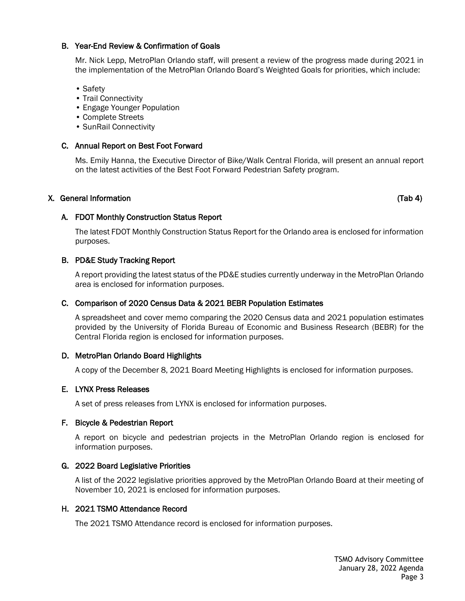# B. Year-End Review & Confirmation of Goals

Mr. Nick Lepp, MetroPlan Orlando staff, will present a review of the progress made during 2021 in the implementation of the MetroPlan Orlando Board's Weighted Goals for priorities, which include:

- Safety
- Trail Connectivity
- Engage Younger Population
- Complete Streets
- SunRail Connectivity

#### C. Annual Report on Best Foot Forward

Ms. Emily Hanna, the Executive Director of Bike/Walk Central Florida, will present an annual report on the latest activities of the Best Foot Forward Pedestrian Safety program.

#### X. General Information (Tab 4)

## A. FDOT Monthly Construction Status Report

The latest FDOT Monthly Construction Status Report for the Orlando area is enclosed for information purposes.

## B. PD&E Study Tracking Report

A report providing the latest status of the PD&E studies currently underway in the MetroPlan Orlando area is enclosed for information purposes.

#### C. Comparison of 2020 Census Data & 2021 BEBR Population Estimates

A spreadsheet and cover memo comparing the 2020 Census data and 2021 population estimates provided by the University of Florida Bureau of Economic and Business Research (BEBR) for the Central Florida region is enclosed for information purposes.

## D. MetroPlan Orlando Board Highlights

A copy of the December 8, 2021 Board Meeting Highlights is enclosed for information purposes.

#### E. LYNX Press Releases

A set of press releases from LYNX is enclosed for information purposes.

#### F. Bicycle & Pedestrian Report

A report on bicycle and pedestrian projects in the MetroPlan Orlando region is enclosed for information purposes.

#### G. 2022 Board Legislative Priorities

A list of the 2022 legislative priorities approved by the MetroPlan Orlando Board at their meeting of November 10, 2021 is enclosed for information purposes.

#### H. 2021 TSMO Attendance Record

The 2021 TSMO Attendance record is enclosed for information purposes.